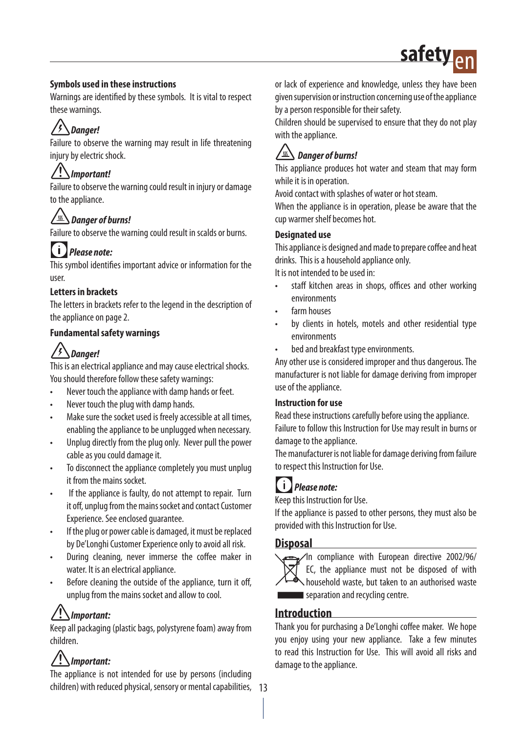## safet

#### **Symbols used in these instructions**

Warnings are identified by these symbols. It is vital to respect these warnings.

## *Danger!*

Failure to observe the warning may result in life threatening injury by electric shock.

## *Important!*

Failure to observe the warning could result in injury or damage to the appliance.

#### /<u>ss</u> *Danger of burns!*

Failure to observe the warning could result in scalds or burns.

## *Please note:*

This symbol identifies important advice or information for the user.

#### **Letters in brackets**

The letters in brackets refer to the legend in the description of the appliance on page 2.

#### **Fundamental safety warnings**

## *Danger!*

This is an electrical appliance and may cause electrical shocks. You should therefore follow these safety warnings:

- Never touch the appliance with damp hands or feet.
- Never touch the plug with damp hands.
- Make sure the socket used is freely accessible at all times, enabling the appliance to be unplugged when necessary.
- Unplug directly from the plug only. Never pull the power cable as you could damage it.
- To disconnect the appliance completely you must unplug it from the mains socket.
- If the appliance is faulty, do not attempt to repair. Turn it off, unplug from the mains socket and contact Customer Experience. See enclosed guarantee.
- If the plug or power cable is damaged, it must be replaced by De'Longhi Customer Experience only to avoid all risk.
- During cleaning, never immerse the coffee maker in water. It is an electrical appliance.
- Before cleaning the outside of the appliance, turn it off, unplug from the mains socket and allow to cool.

## *Important:*

Keep all packaging (plastic bags, polystyrene foam) away from children.

## *Important:*

13 children) with reduced physical, sensory or mental capabilities, The appliance is not intended for use by persons (including

or lack of experience and knowledge, unless they have been given supervision or instruction concerning use of the appliance by a person responsible for their safety.

Children should be supervised to ensure that they do not play with the appliance.

## *Danger of burns!*

This appliance produces hot water and steam that may form while it is in operation.

Avoid contact with splashes of water or hot steam.

When the appliance is in operation, please be aware that the cup warmer shelf becomes hot.

#### **Designated use**

This appliance is designed and made to prepare coffee and heat drinks. This is a household appliance only.

It is not intended to be used in:

- staff kitchen areas in shops, offices and other working environments
- farm houses
- by clients in hotels, motels and other residential type environments
- bed and breakfast type environments.

Any other use is considered improper and thus dangerous. The manufacturer is not liable for damage deriving from improper use of the appliance.

#### **Instruction for use**

Read these instructions carefully before using the appliance. Failure to follow this Instruction for Use may result in burns or damage to the appliance.

The manufacturer is not liable for damage deriving from failure to respect this Instruction for Use.



Keep this Instruction for Use.

If the appliance is passed to other persons, they must also be provided with this Instruction for Use.

#### **Disposal**



In compliance with European directive 2002/96/ EC, the appliance must not be disposed of with household waste, but taken to an authorised waste separation and recycling centre.

#### **Introduction**

Thank you for purchasing a De'Longhi coffee maker. We hope you enjoy using your new appliance. Take a few minutes to read this Instruction for Use. This will avoid all risks and damage to the appliance.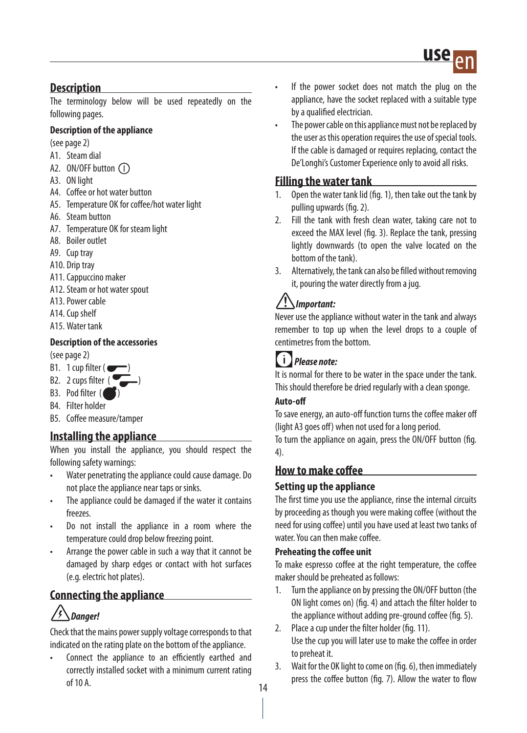

#### **Description**

The terminology below will be used repeatedly on the following pages.

#### **Description of the appliance**

(see page 2)

- A1. Steam dial
- A2. ON/OFF button (1)
- A3. ON light
- A4. Coffee or hot water button
- A5. Temperature OK for coffee/hot water light
- A6. Steam button
- A7. Temperature OK for steam light
- A8. Boiler outlet
- A9. Cup tray
- A10. Drip tray
- A11. Cappuccino maker
- A12. Steam or hot water spout
- A13. Power cable
- A14. Cup shelf
- A15. Water tank

#### **Description of the accessories**

(see page 2)

- B1. 1 cup filter ( $\blacksquare$
- B2. 2 cups filter  $\begin{pmatrix} 0 \\ 0 \end{pmatrix}$
- B3. Pod filter (
- B4. Filter holder
- B5. Coffee measure/tamper

#### **Installing the appliance**

When you install the appliance, you should respect the following safety warnings:

- Water penetrating the appliance could cause damage. Do not place the appliance near taps or sinks.
- The appliance could be damaged if the water it contains freezes.
- Do not install the appliance in a room where the temperature could drop below freezing point.
- Arrange the power cable in such a way that it cannot be damaged by sharp edges or contact with hot surfaces (e.g. electric hot plates).

#### **Connecting the appliance**

## *Danger!*

Check that the mains power supply voltage corresponds to that indicated on the rating plate on the bottom of the appliance.

Connect the appliance to an efficiently earthed and correctly installed socket with a minimum current rating of 10 A.

- If the power socket does not match the plug on the appliance, have the socket replaced with a suitable type by a qualified electrician.
- The power cable on this appliance must not be replaced by the user as this operation requires the use of special tools. If the cable is damaged or requires replacing, contact the De'Longhi's Customer Experience only to avoid all risks.

#### **Filling the water tank**

- 1. Open the water tank lid (fig. 1), then take out the tank by pulling upwards (fig. 2).
- 2. Fill the tank with fresh clean water, taking care not to exceed the MAX level (fig. 3). Replace the tank, pressing lightly downwards (to open the valve located on the bottom of the tank).
- 3. Alternatively, the tank can also be filled without removing it, pouring the water directly from a jug.

### *Important:*

Never use the appliance without water in the tank and always remember to top up when the level drops to a couple of centimetres from the bottom.

## *Please note:*

It is normal for there to be water in the space under the tank. This should therefore be dried regularly with a clean sponge.

#### **Auto-off**

To save energy, an auto-off function turns the coffee maker off (light A3 goes off) when not used for a long period.

To turn the appliance on again, press the ON/OFF button (fig. 4).

#### **How to make coffee**

#### **Setting up the appliance**

The first time you use the appliance, rinse the internal circuits by proceeding as though you were making coffee (without the need for using coffee) until you have used at least two tanks of water. You can then make coffee.

#### **Preheating the coffee unit**

To make espresso coffee at the right temperature, the coffee maker should be preheated as follows:

- 1. Turn the appliance on by pressing the ON/OFF button (the ON light comes on) (fig. 4) and attach the filter holder to the appliance without adding pre-ground coffee (fig. 5).
- 2. Place a cup under the filter holder (fig. 11). Use the cup you will later use to make the coffee in order to preheat it.
- 3. Wait for the OK light to come on (fig. 6), then immediately press the coffee button (fig. 7). Allow the water to flow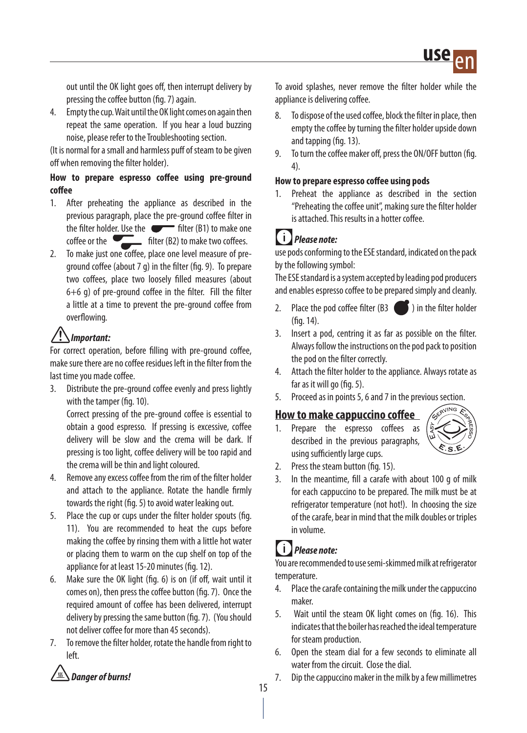out until the OK light goes off, then interrupt delivery by pressing the coffee button (fig. 7) again.

4. Empty the cup. Wait until the OK light comes on again then repeat the same operation. If you hear a loud buzzing noise, please refer to the Troubleshooting section.

(It is normal for a small and harmless puff of steam to be given off when removing the filter holder).

#### **How to prepare espresso coffee using pre-ground coffee**

- 1. After preheating the appliance as described in the previous paragraph, place the pre-ground coffee filter in the filter holder. Use the  $\bullet$  filter (B1) to make one coffee or the  $\sqrt{\frac{1}{\sqrt{2}}}$  filter (B2) to make two coffees.
- 2. To make just one coffee, place one level measure of preground coffee (about 7 g) in the filter (fig. 9). To prepare two coffees, place two loosely filled measures (about 6+6 g) of pre-ground coffee in the filter. Fill the filter a little at a time to prevent the pre-ground coffee from overflowing.

## *Important:*

For correct operation, before filling with pre-ground coffee, make sure there are no coffee residues left in the filter from the last time you made coffee.

3. Distribute the pre-ground coffee evenly and press lightly with the tamper (fig. 10).

Correct pressing of the pre-ground coffee is essential to obtain a good espresso. If pressing is excessive, coffee delivery will be slow and the crema will be dark. If pressing is too light, coffee delivery will be too rapid and the crema will be thin and light coloured.

- 4. Remove any excess coffee from the rim of the filter holder and attach to the appliance. Rotate the handle firmly towards the right (fig. 5) to avoid water leaking out.
- 5. Place the cup or cups under the filter holder spouts (fig. 11). You are recommended to heat the cups before making the coffee by rinsing them with a little hot water or placing them to warm on the cup shelf on top of the appliance for at least 15-20 minutes (fig. 12).
- 6. Make sure the OK light (fig. 6) is on (if off, wait until it comes on), then press the coffee button (fig. 7). Once the required amount of coffee has been delivered, interrupt delivery by pressing the same button (fig. 7). (You should not deliver coffee for more than 45 seconds).
- 7. To remove the filter holder, rotate the handle from right to left.



To avoid splashes, never remove the filter holder while the appliance is delivering coffee.

- 8. To dispose of the used coffee, block the filter in place, then empty the coffee by turning the filter holder upside down and tapping (fig. 13).
- 9. To turn the coffee maker off, press the ON/OFF button (fig. 4).

#### **How to prepare espresso coffee using pods**

1. Preheat the appliance as described in the section "Preheating the coffee unit", making sure the filter holder is attached. This results in a hotter coffee.

## *Please note:*

use pods conforming to the ESE standard, indicated on the pack by the following symbol:

The ESE standard is a system accepted by leading pod producers and enables espresso coffee to be prepared simply and cleanly.

- 2. Place the pod coffee filter  $(B3 \quad \bullet)$  in the filter holder (fig. 14).
- 3. Insert a pod, centring it as far as possible on the filter. Always follow the instructions on the pod pack to position the pod on the filter correctly.
- 4. Attach the filter holder to the appliance. Always rotate as far as it will go (fig. 5).
- 5. Proceed as in points 5, 6 and 7 in the previous section.

#### **How to make cappuccino coffee**

Prepare the espresso coffees as described in the previous paragraphs, using sufficiently large cups.



- 2. Press the steam button (fig. 15).
- 3. In the meantime, fill a carafe with about 100 g of milk for each cappuccino to be prepared. The milk must be at refrigerator temperature (not hot!). In choosing the size of the carafe, bear in mind that the milk doubles or triples in volume.

### *Please note:*

You are recommended to use semi-skimmed milk at refrigerator temperature.

- 4. Place the carafe containing the milk under the cappuccino maker.
- 5. Wait until the steam OK light comes on (fig. 16). This indicates that the boiler has reached the ideal temperature for steam production.
- 6. Open the steam dial for a few seconds to eliminate all water from the circuit. Close the dial.
- 7. Dip the cappuccino maker in the milk by a few millimetres
- 15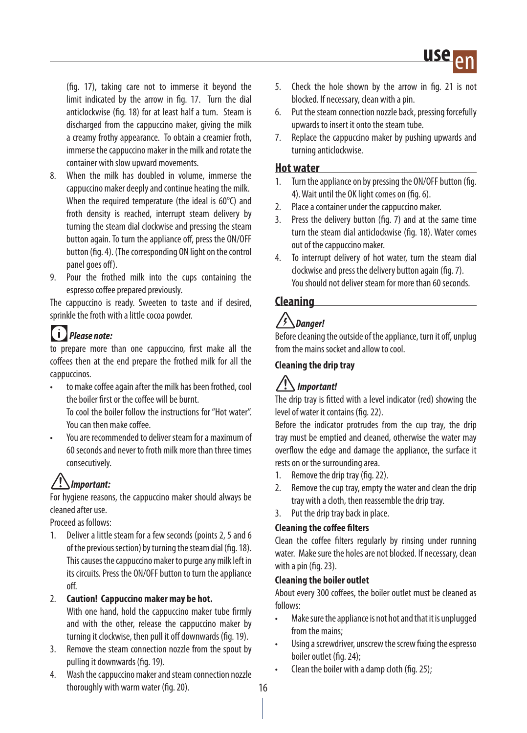(fig. 17), taking care not to immerse it beyond the limit indicated by the arrow in fig. 17. Turn the dial anticlockwise (fig. 18) for at least half a turn. Steam is discharged from the cappuccino maker, giving the milk a creamy frothy appearance. To obtain a creamier froth, immerse the cappuccino maker in the milk and rotate the container with slow upward movements.

- 8. When the milk has doubled in volume, immerse the cappuccino maker deeply and continue heating the milk. When the required temperature (the ideal is 60°C) and froth density is reached, interrupt steam delivery by turning the steam dial clockwise and pressing the steam button again. To turn the appliance off, press the ON/OFF button (fig. 4). (The corresponding ON light on the control panel goes off).
- 9. Pour the frothed milk into the cups containing the espresso coffee prepared previously.

The cappuccino is ready. Sweeten to taste and if desired, sprinkle the froth with a little cocoa powder.

## *Please note:*

to prepare more than one cappuccino, first make all the coffees then at the end prepare the frothed milk for all the cappuccinos.

• to make coffee again after the milk has been frothed, cool the boiler first or the coffee will be burnt.

To cool the boiler follow the instructions for "Hot water". You can then make coffee.

• You are recommended to deliver steam for a maximum of 60 seconds and never to froth milk more than three times consecutively.

## *Important:*

For hygiene reasons, the cappuccino maker should always be cleaned after use.

Proceed as follows:

1. Deliver a little steam for a few seconds (points 2, 5 and 6 of the previous section) by turning the steam dial (fig. 18). This causes the cappuccino maker to purge any milk left in its circuits. Press the ON/OFF button to turn the appliance off.

#### 2. **Caution! Cappuccino maker may be hot.**

With one hand, hold the cappuccino maker tube firmly and with the other, release the cappuccino maker by turning it clockwise, then pull it off downwards (fig. 19).

- 3. Remove the steam connection nozzle from the spout by pulling it downwards (fig. 19).
- 4. Wash the cappuccino maker and steam connection nozzle thoroughly with warm water (fig. 20).
- 5. Check the hole shown by the arrow in fig. 21 is not blocked. If necessary, clean with a pin.
- 6. Put the steam connection nozzle back, pressing forcefully upwards to insert it onto the steam tube.
- 7. Replace the cappuccino maker by pushing upwards and turning anticlockwise.

#### **Hot water**

- 1. Turn the appliance on by pressing the ON/OFF button (fig. 4). Wait until the OK light comes on (fig. 6).
- 2. Place a container under the cappuccino maker.
- 3. Press the delivery button (fig. 7) and at the same time turn the steam dial anticlockwise (fig. 18). Water comes out of the cappuccino maker.
- 4. To interrupt delivery of hot water, turn the steam dial clockwise and press the delivery button again (fig. 7). You should not deliver steam for more than 60 seconds.

#### **Cleaning**

## *Danger!*

Before cleaning the outside of the appliance, turn it off, unplug from the mains socket and allow to cool.

#### **Cleaning the drip tray**

## *Important!*

The drip tray is fitted with a level indicator (red) showing the level of water it contains (fig. 22).

Before the indicator protrudes from the cup tray, the drip tray must be emptied and cleaned, otherwise the water may overflow the edge and damage the appliance, the surface it rests on or the surrounding area.

- 1. Remove the drip tray (fig. 22).
- 2. Remove the cup tray, empty the water and clean the drip tray with a cloth, then reassemble the drip tray.
- 3. Put the drip tray back in place.

#### **Cleaning the coffee filters**

Clean the coffee filters regularly by rinsing under running water. Make sure the holes are not blocked. If necessary, clean with a pin (fig. 23).

#### **Cleaning the boiler outlet**

About every 300 coffees, the boiler outlet must be cleaned as follows:

- Make sure the appliance is not hot and that it is unplugged from the mains;
- Using a screwdriver, unscrew the screw fixing the espresso boiler outlet (fig. 24);
- Clean the boiler with a damp cloth (fig. 25);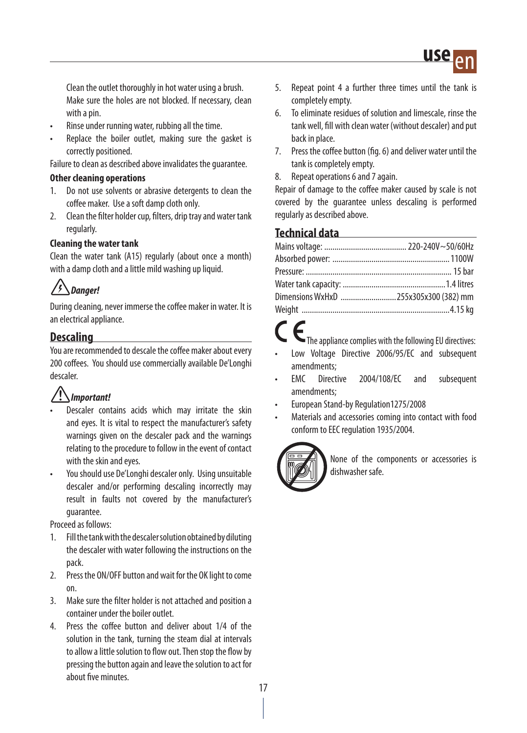

Clean the outlet thoroughly in hot water using a brush. Make sure the holes are not blocked. If necessary, clean with a pin.

- Rinse under running water, rubbing all the time.
- Replace the boiler outlet, making sure the gasket is correctly positioned.

Failure to clean as described above invalidates the guarantee.

#### **Other cleaning operations**

- 1. Do not use solvents or abrasive detergents to clean the coffee maker. Use a soft damp cloth only.
- 2. Clean the filter holder cup, filters, drip tray and water tank regularly.

#### **Cleaning the water tank**

Clean the water tank (A15) regularly (about once a month) with a damp cloth and a little mild washing up liquid.

## *Danger!*

During cleaning, never immerse the coffee maker in water. It is an electrical appliance.

#### **Descaling**

You are recommended to descale the coffee maker about every 200 coffees. You should use commercially available De'Longhi descaler.

### *Important!*

- Descaler contains acids which may irritate the skin and eyes. It is vital to respect the manufacturer's safety warnings given on the descaler pack and the warnings relating to the procedure to follow in the event of contact with the skin and eyes.
- You should use De'Longhi descaler only. Using unsuitable descaler and/or performing descaling incorrectly may result in faults not covered by the manufacturer's guarantee.

Proceed as follows:

- 1. Fill the tank with the descaler solution obtained by diluting the descaler with water following the instructions on the pack.
- 2. Press the ON/OFF button and wait for the OK light to come on.
- 3. Make sure the filter holder is not attached and position a container under the boiler outlet.
- 4. Press the coffee button and deliver about 1/4 of the solution in the tank, turning the steam dial at intervals to allow a little solution to flow out. Then stop the flow by pressing the button again and leave the solution to act for about five minutes.
- 5. Repeat point 4 a further three times until the tank is completely empty.
- 6. To eliminate residues of solution and limescale, rinse the tank well, fill with clean water (without descaler) and put back in place.
- 7. Press the coffee button (fig. 6) and deliver water until the tank is completely empty.
- 8. Repeat operations 6 and 7 again.

Repair of damage to the coffee maker caused by scale is not covered by the guarantee unless descaling is performed regularly as described above.

#### **Technical data**

| Dimensions WxHxD 255x305x300 (382) mm |  |
|---------------------------------------|--|
|                                       |  |

- The appliance complies with the following EU directives:
- Low Voltage Directive 2006/95/EC and subsequent amendments;
- EMC Directive 2004/108/EC and subsequent amendments;
- European Stand-by Regulation1275/2008
- Materials and accessories coming into contact with food conform to EEC regulation 1935/2004.



None of the components or accessories is dishwasher safe.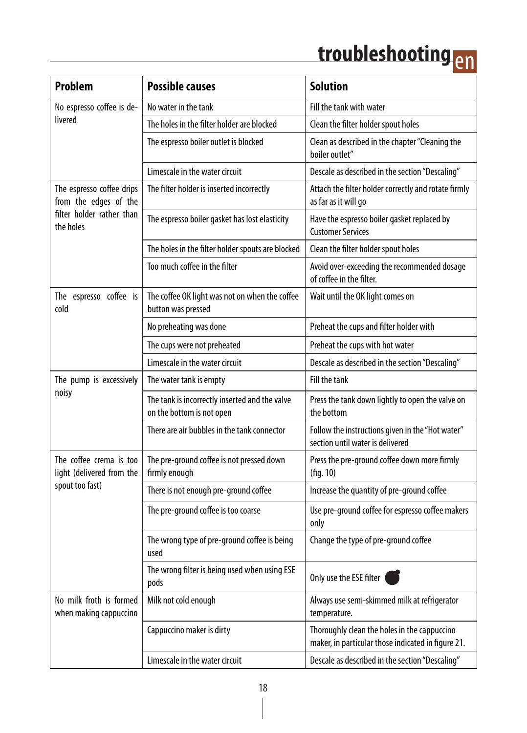## <u>troubleshooting <sub>en</sub></u>

| <b>Problem</b>                                                                               | <b>Possible causes</b>                                                      | <b>Solution</b>                                                                                    |
|----------------------------------------------------------------------------------------------|-----------------------------------------------------------------------------|----------------------------------------------------------------------------------------------------|
| No espresso coffee is de-<br>livered                                                         | No water in the tank                                                        | Fill the tank with water                                                                           |
|                                                                                              | The holes in the filter holder are blocked                                  | Clean the filter holder spout holes                                                                |
|                                                                                              | The espresso boiler outlet is blocked                                       | Clean as described in the chapter "Cleaning the<br>boiler outlet"                                  |
|                                                                                              | Limescale in the water circuit                                              | Descale as described in the section "Descaling"                                                    |
| The espresso coffee drips<br>from the edges of the<br>filter holder rather than<br>the holes | The filter holder is inserted incorrectly                                   | Attach the filter holder correctly and rotate firmly<br>as far as it will go                       |
|                                                                                              | The espresso boiler gasket has lost elasticity                              | Have the espresso boiler gasket replaced by<br><b>Customer Services</b>                            |
|                                                                                              | The holes in the filter holder spouts are blocked                           | Clean the filter holder spout holes                                                                |
|                                                                                              | Too much coffee in the filter                                               | Avoid over-exceeding the recommended dosage<br>of coffee in the filter.                            |
| The espresso coffee is<br>cold                                                               | The coffee OK light was not on when the coffee<br>button was pressed        | Wait until the OK light comes on                                                                   |
|                                                                                              | No preheating was done                                                      | Preheat the cups and filter holder with                                                            |
|                                                                                              | The cups were not preheated                                                 | Preheat the cups with hot water                                                                    |
|                                                                                              | Limescale in the water circuit                                              | Descale as described in the section "Descaling"                                                    |
| The pump is excessively<br>noisy                                                             | The water tank is empty                                                     | Fill the tank                                                                                      |
|                                                                                              | The tank is incorrectly inserted and the valve<br>on the bottom is not open | Press the tank down lightly to open the valve on<br>the bottom                                     |
|                                                                                              | There are air bubbles in the tank connector                                 | Follow the instructions given in the "Hot water"<br>section until water is delivered               |
| The coffee crema is too<br>light (delivered from the<br>spout too fast)                      | The pre-ground coffee is not pressed down<br>firmly enough                  | Press the pre-ground coffee down more firmly<br>(fiq. 10)                                          |
|                                                                                              | There is not enough pre-ground coffee                                       | Increase the quantity of pre-ground coffee                                                         |
|                                                                                              | The pre-ground coffee is too coarse                                         | Use pre-ground coffee for espresso coffee makers<br>only                                           |
|                                                                                              | The wrong type of pre-ground coffee is being<br>used                        | Change the type of pre-ground coffee                                                               |
|                                                                                              | The wrong filter is being used when using ESE<br>pods                       | Only use the ESE filter (                                                                          |
| No milk froth is formed<br>when making cappuccino                                            | Milk not cold enough                                                        | Always use semi-skimmed milk at refrigerator<br>temperature.                                       |
|                                                                                              | Cappuccino maker is dirty                                                   | Thoroughly clean the holes in the cappuccino<br>maker, in particular those indicated in figure 21. |
|                                                                                              | Limescale in the water circuit                                              | Descale as described in the section "Descaling"                                                    |